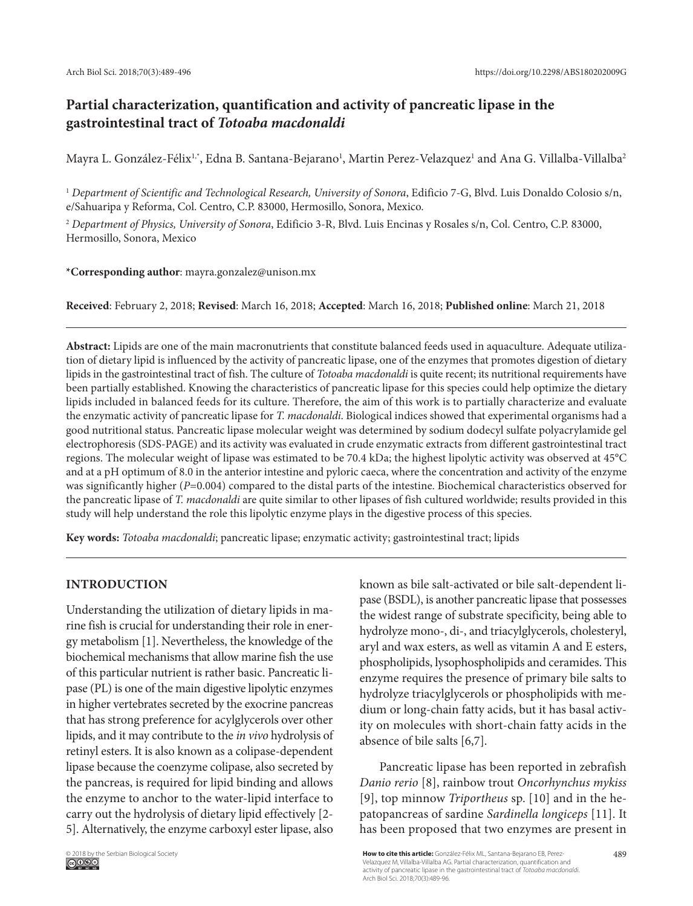# **Partial characterization, quantification and activity of pancreatic lipase in the gastrointestinal tract of** *Totoaba macdonaldi*

Mayra L. González-Félix<sup>1,</sup>\*, Edna B. Santana-Bejarano<sup>1</sup>, Martin Perez-Velazquez<sup>1</sup> and Ana G. Villalba-Villalba<sup>2</sup>

<sup>1</sup> *Department of Scientific and Technological Research, University of Sonora*, Edificio 7-G, Blvd. Luis Donaldo Colosio s/n, e/Sahuaripa y Reforma, Col. Centro, C.P. 83000, Hermosillo, Sonora, Mexico.

<sup>2</sup> *Department of Physics, University of Sonora*, Edificio 3-R, Blvd. Luis Encinas y Rosales s/n, Col. Centro, C.P. 83000, Hermosillo, Sonora, Mexico

# **\*Corresponding author**: mayra.gonzalez@unison.mx

**Received**: February 2, 2018; **Revised**: March 16, 2018; **Accepted**: March 16, 2018; **Published online**: March 21, 2018

**Abstract:** Lipids are one of the main macronutrients that constitute balanced feeds used in aquaculture. Adequate utilization of dietary lipid is influenced by the activity of pancreatic lipase, one of the enzymes that promotes digestion of dietary lipids in the gastrointestinal tract of fish. The culture of *Totoaba macdonaldi* is quite recent; its nutritional requirements have been partially established. Knowing the characteristics of pancreatic lipase for this species could help optimize the dietary lipids included in balanced feeds for its culture. Therefore, the aim of this work is to partially characterize and evaluate the enzymatic activity of pancreatic lipase for *T. macdonaldi*. Biological indices showed that experimental organisms had a good nutritional status. Pancreatic lipase molecular weight was determined by sodium dodecyl sulfate polyacrylamide gel electrophoresis (SDS-PAGE) and its activity was evaluated in crude enzymatic extracts from different gastrointestinal tract regions. The molecular weight of lipase was estimated to be 70.4 kDa; the highest lipolytic activity was observed at 45°C and at a pH optimum of 8.0 in the anterior intestine and pyloric caeca, where the concentration and activity of the enzyme was significantly higher (*P*=0.004) compared to the distal parts of the intestine. Biochemical characteristics observed for the pancreatic lipase of *T. macdonaldi* are quite similar to other lipases of fish cultured worldwide; results provided in this study will help understand the role this lipolytic enzyme plays in the digestive process of this species.

**Key words:** *Totoaba macdonaldi*; pancreatic lipase; enzymatic activity; gastrointestinal tract; lipids

# **INTRODUCTION**

Understanding the utilization of dietary lipids in marine fish is crucial for understanding their role in energy metabolism [1]. Nevertheless, the knowledge of the biochemical mechanisms that allow marine fish the use of this particular nutrient is rather basic. Pancreatic lipase (PL) is one of the main digestive lipolytic enzymes in higher vertebrates secreted by the exocrine pancreas that has strong preference for acylglycerols over other lipids, and it may contribute to the *in vivo* hydrolysis of retinyl esters. It is also known as a colipase-dependent lipase because the coenzyme colipase, also secreted by the pancreas, is required for lipid binding and allows the enzyme to anchor to the water-lipid interface to carry out the hydrolysis of dietary lipid effectively [2- 5]. Alternatively, the enzyme carboxyl ester lipase, also

known as bile salt-activated or bile salt-dependent lipase (BSDL), is another pancreatic lipase that possesses the widest range of substrate specificity, being able to hydrolyze mono-, di-, and triacylglycerols, cholesteryl, aryl and wax esters, as well as vitamin A and E esters, phospholipids, lysophospholipids and ceramides. This enzyme requires the presence of primary bile salts to hydrolyze triacylglycerols or phospholipids with medium or long-chain fatty acids, but it has basal activity on molecules with short-chain fatty acids in the absence of bile salts [6,7].

Pancreatic lipase has been reported in zebrafish *Danio rerio* [8], rainbow trout *Oncorhynchus mykiss*  [9], top minnow *Triportheus* sp. [10] and in the hepatopancreas of sardine *Sardinella longiceps* [11]. It has been proposed that two enzymes are present in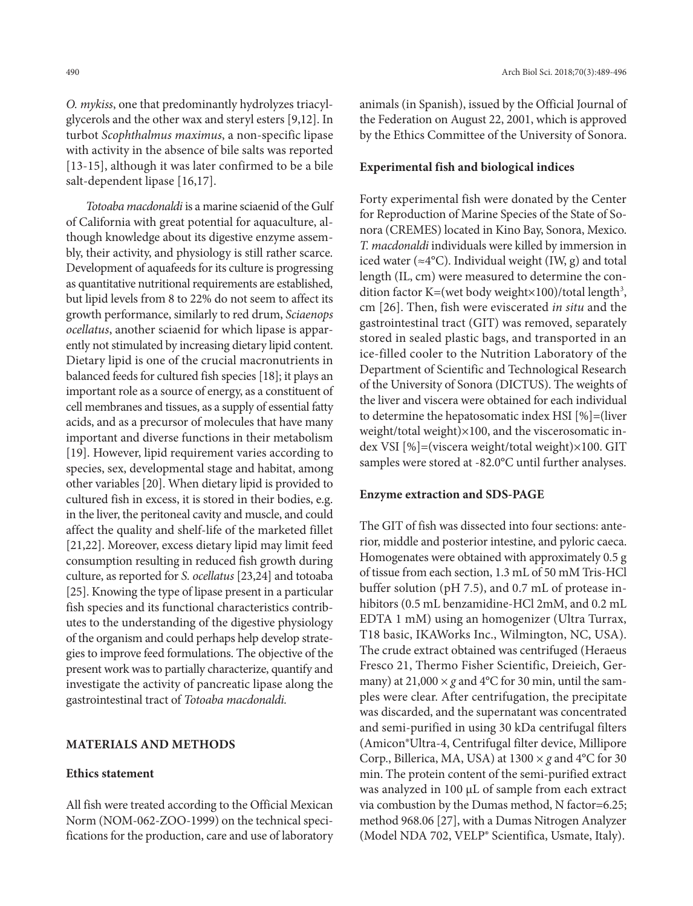*O. mykiss*, one that predominantly hydrolyzes triacylglycerols and the other wax and steryl esters [9,12]. In turbot *Scophthalmus maximus*, a non-specific lipase with activity in the absence of bile salts was reported [13-15], although it was later confirmed to be a bile salt-dependent lipase [16,17].

*Totoaba macdonaldi* is a marine sciaenid of the Gulf of California with great potential for aquaculture, although knowledge about its digestive enzyme assembly, their activity, and physiology is still rather scarce. Development of aquafeeds for its culture is progressing as quantitative nutritional requirements are established, but lipid levels from 8 to 22% do not seem to affect its growth performance, similarly to red drum, *Sciaenops ocellatus*, another sciaenid for which lipase is apparently not stimulated by increasing dietary lipid content. Dietary lipid is one of the crucial macronutrients in balanced feeds for cultured fish species [18]; it plays an important role as a source of energy, as a constituent of cell membranes and tissues, as a supply of essential fatty acids, and as a precursor of molecules that have many important and diverse functions in their metabolism [19]. However, lipid requirement varies according to species, sex, developmental stage and habitat, among other variables [20]. When dietary lipid is provided to cultured fish in excess, it is stored in their bodies, e.g. in the liver, the peritoneal cavity and muscle, and could affect the quality and shelf-life of the marketed fillet [21,22]. Moreover, excess dietary lipid may limit feed consumption resulting in reduced fish growth during culture, as reported for *S. ocellatus* [23,24] and totoaba [25]. Knowing the type of lipase present in a particular fish species and its functional characteristics contributes to the understanding of the digestive physiology of the organism and could perhaps help develop strategies to improve feed formulations. The objective of the present work was to partially characterize, quantify and investigate the activity of pancreatic lipase along the gastrointestinal tract of *Totoaba macdonaldi.*

#### **MATERIALS AND METHODS**

#### **Ethics statement**

All fish were treated according to the Official Mexican Norm (NOM-062-ZOO-1999) on the technical specifications for the production, care and use of laboratory animals (in Spanish), issued by the Official Journal of the Federation on August 22, 2001, which is approved by the Ethics Committee of the University of Sonora.

# **Experimental fish and biological indices**

Forty experimental fish were donated by the Center for Reproduction of Marine Species of the State of Sonora (CREMES) located in Kino Bay, Sonora, Mexico. *T. macdonaldi* individuals were killed by immersion in iced water ( $\approx 4$ °C). Individual weight (IW, g) and total length (IL, cm) were measured to determine the condition factor K=(wet body weight $\times$ 100)/total length<sup>3</sup>, cm [26]. Then, fish were eviscerated *in situ* and the gastrointestinal tract (GIT) was removed, separately stored in sealed plastic bags, and transported in an ice-filled cooler to the Nutrition Laboratory of the Department of Scientific and Technological Research of the University of Sonora (DICTUS). The weights of the liver and viscera were obtained for each individual to determine the hepatosomatic index HSI [%]=(liver weight/total weight)×100, and the viscerosomatic index VSI [%]=(viscera weight/total weight)×100. GIT samples were stored at -82.0°C until further analyses.

#### **Enzyme extraction and SDS-PAGE**

The GIT of fish was dissected into four sections: anterior, middle and posterior intestine, and pyloric caeca. Homogenates were obtained with approximately 0.5 g of tissue from each section, 1.3 mL of 50 mM Tris-HCl buffer solution (pH 7.5), and 0.7 mL of protease inhibitors (0.5 mL benzamidine-HCl 2mM, and 0.2 mL EDTA 1 mM) using an homogenizer (Ultra Turrax, T18 basic, IKAWorks Inc., Wilmington, NC, USA). The crude extract obtained was centrifuged (Heraeus Fresco 21, Thermo Fisher Scientific, Dreieich, Germany) at  $21,000 \times g$  and  $4^{\circ}$ C for 30 min, until the samples were clear. After centrifugation, the precipitate was discarded, and the supernatant was concentrated and semi-purified in using 30 kDa centrifugal filters (Amicon®Ultra-4, Centrifugal filter device, Millipore Corp., Billerica, MA, USA) at  $1300 \times g$  and  $4^{\circ}$ C for 30 min. The protein content of the semi-purified extract was analyzed in 100 µL of sample from each extract via combustion by the Dumas method, N factor=6.25; method 968.06 [27], with a Dumas Nitrogen Analyzer (Model NDA 702, VELP® Scientifica, Usmate, Italy).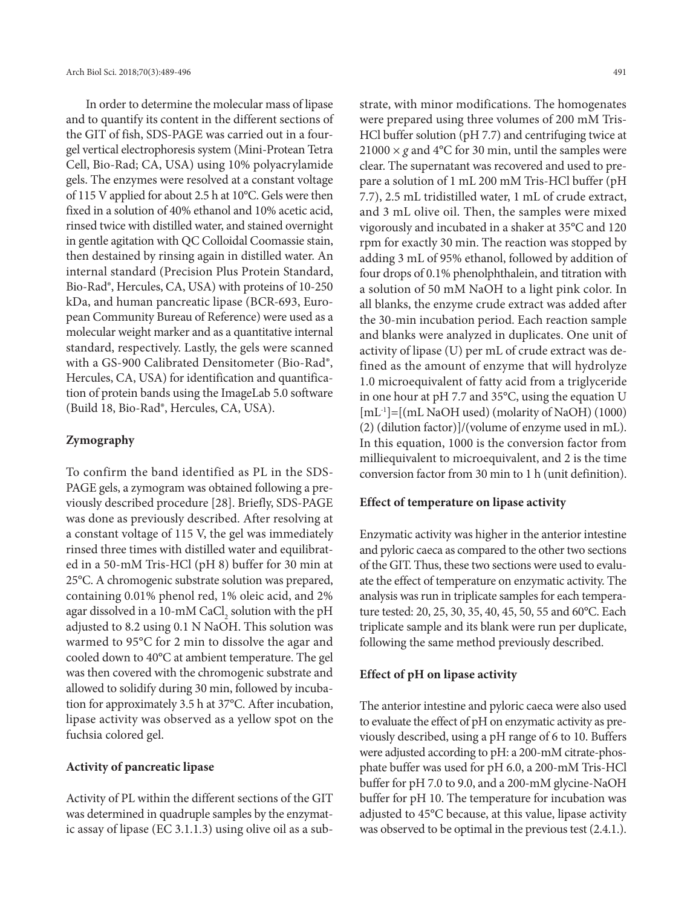In order to determine the molecular mass of lipase and to quantify its content in the different sections of the GIT of fish, SDS-PAGE was carried out in a fourgel vertical electrophoresis system (Mini-Protean Tetra Cell, Bio-Rad; CA, USA) using 10% polyacrylamide gels. The enzymes were resolved at a constant voltage of 115 V applied for about 2.5 h at 10°C. Gels were then fixed in a solution of 40% ethanol and 10% acetic acid, rinsed twice with distilled water, and stained overnight in gentle agitation with QC Colloidal Coomassie stain, then destained by rinsing again in distilled water. An internal standard (Precision Plus Protein Standard, Bio-Rad®, Hercules, CA, USA) with proteins of 10-250 kDa, and human pancreatic lipase (BCR-693, European Community Bureau of Reference) were used as a molecular weight marker and as a quantitative internal standard, respectively. Lastly, the gels were scanned with a GS-900 Calibrated Densitometer (Bio-Rad®, Hercules, CA, USA) for identification and quantification of protein bands using the ImageLab 5.0 software (Build 18, Bio-Rad®, Hercules, CA, USA).

## **Zymography**

To confirm the band identified as PL in the SDS-PAGE gels, a zymogram was obtained following a previously described procedure [28]. Briefly, SDS-PAGE was done as previously described. After resolving at a constant voltage of 115 V, the gel was immediately rinsed three times with distilled water and equilibrated in a 50-mM Tris-HCl (pH 8) buffer for 30 min at 25°C. A chromogenic substrate solution was prepared, containing 0.01% phenol red, 1% oleic acid, and 2% agar dissolved in a 10-mM CaCl<sub>2</sub> solution with the pH adjusted to 8.2 using 0.1 N NaOH. This solution was warmed to 95°C for 2 min to dissolve the agar and cooled down to 40°C at ambient temperature. The gel was then covered with the chromogenic substrate and allowed to solidify during 30 min, followed by incubation for approximately 3.5 h at 37°C. After incubation, lipase activity was observed as a yellow spot on the fuchsia colored gel.

#### **Activity of pancreatic lipase**

Activity of PL within the different sections of the GIT was determined in quadruple samples by the enzymatic assay of lipase (EC 3.1.1.3) using olive oil as a substrate, with minor modifications. The homogenates were prepared using three volumes of 200 mM Tris-HCl buffer solution (pH 7.7) and centrifuging twice at  $21000 \times g$  and 4°C for 30 min, until the samples were clear. The supernatant was recovered and used to prepare a solution of 1 mL 200 mM Tris-HCl buffer (pH 7.7), 2.5 mL tridistilled water, 1 mL of crude extract, and 3 mL olive oil. Then, the samples were mixed vigorously and incubated in a shaker at 35°C and 120 rpm for exactly 30 min. The reaction was stopped by adding 3 mL of 95% ethanol, followed by addition of four drops of 0.1% phenolphthalein, and titration with a solution of 50 mM NaOH to a light pink color. In all blanks, the enzyme crude extract was added after the 30-min incubation period. Each reaction sample and blanks were analyzed in duplicates. One unit of activity of lipase (U) per mL of crude extract was defined as the amount of enzyme that will hydrolyze 1.0 microequivalent of fatty acid from a triglyceride in one hour at pH 7.7 and 35°C, using the equation U [mL-1]=[(mL NaOH used) (molarity of NaOH) (1000) (2) (dilution factor)]/(volume of enzyme used in mL). In this equation, 1000 is the conversion factor from milliequivalent to microequivalent, and 2 is the time conversion factor from 30 min to 1 h (unit definition).

# **Effect of temperature on lipase activity**

Enzymatic activity was higher in the anterior intestine and pyloric caeca as compared to the other two sections of the GIT. Thus, these two sections were used to evaluate the effect of temperature on enzymatic activity. The analysis was run in triplicate samples for each temperature tested: 20, 25, 30, 35, 40, 45, 50, 55 and 60°C. Each triplicate sample and its blank were run per duplicate, following the same method previously described.

## **Effect of pH on lipase activity**

The anterior intestine and pyloric caeca were also used to evaluate the effect of pH on enzymatic activity as previously described, using a pH range of 6 to 10. Buffers were adjusted according to pH: a 200-mM citrate-phosphate buffer was used for pH 6.0, a 200-mM Tris-HCl buffer for pH 7.0 to 9.0, and a 200-mM glycine-NaOH buffer for pH 10. The temperature for incubation was adjusted to 45°C because, at this value, lipase activity was observed to be optimal in the previous test (2.4.1.).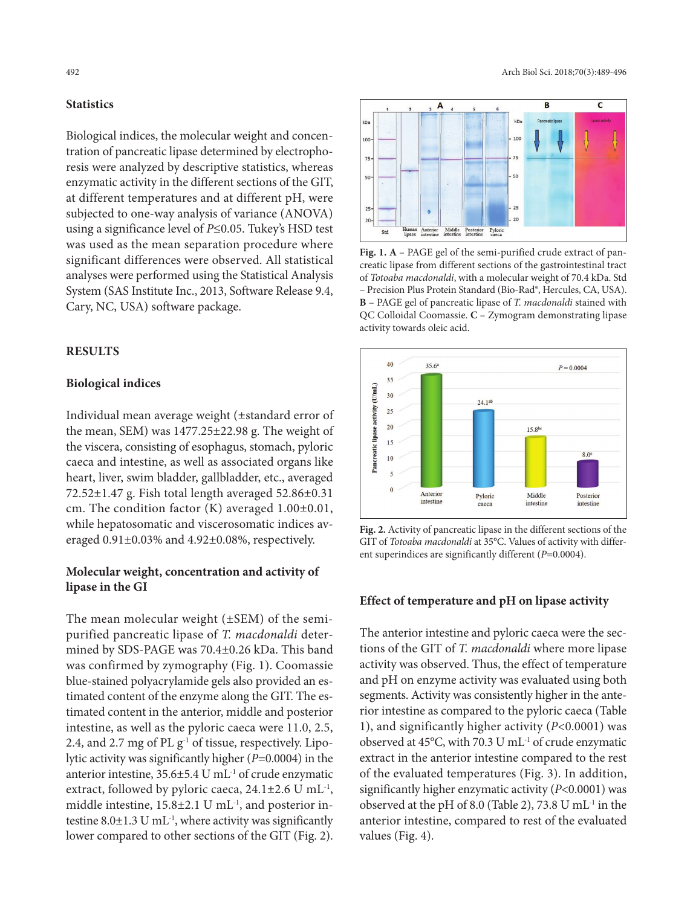# **Statistics**

Biological indices, the molecular weight and concentration of pancreatic lipase determined by electrophoresis were analyzed by descriptive statistics, whereas enzymatic activity in the different sections of the GIT, at different temperatures and at different pH, were subjected to one-way analysis of variance (ANOVA) using a significance level of *P*≤0.05. Tukey's HSD test was used as the mean separation procedure where significant differences were observed. All statistical analyses were performed using the Statistical Analysis System (SAS Institute Inc., 2013, Software Release 9.4, Cary, NC, USA) software package.

# **RESULTS**

## **Biological indices**

Individual mean average weight (±standard error of the mean, SEM) was 1477.25±22.98 g. The weight of the viscera, consisting of esophagus, stomach, pyloric caeca and intestine, as well as associated organs like heart, liver, swim bladder, gallbladder, etc., averaged 72.52±1.47 g. Fish total length averaged 52.86±0.31 cm. The condition factor (K) averaged 1.00±0.01, while hepatosomatic and viscerosomatic indices averaged 0.91±0.03% and 4.92±0.08%, respectively.

# **Molecular weight, concentration and activity of lipase in the GI**

The mean molecular weight (±SEM) of the semipurified pancreatic lipase of *T. macdonaldi* determined by SDS-PAGE was 70.4±0.26 kDa. This band was confirmed by zymography (Fig. 1). Coomassie blue-stained polyacrylamide gels also provided an estimated content of the enzyme along the GIT. The estimated content in the anterior, middle and posterior intestine, as well as the pyloric caeca were 11.0, 2.5, 2.4, and 2.7 mg of PL  $g^{-1}$  of tissue, respectively. Lipolytic activity was significantly higher (*P*=0.0004) in the anterior intestine,  $35.6 \pm 5.4$  U mL<sup>-1</sup> of crude enzymatic extract, followed by pyloric caeca, 24.1±2.6 U mL-1, middle intestine,  $15.8 \pm 2.1$  U mL<sup>-1</sup>, and posterior intestine  $8.0 \pm 1.3$  U mL<sup>-1</sup>, where activity was significantly lower compared to other sections of the GIT (Fig. 2).



**Fig. 1. A** – PAGE gel of the semi-purified crude extract of pancreatic lipase from different sections of the gastrointestinal tract of *Totoaba macdonaldi*, with a molecular weight of 70.4 kDa. Std – Precision Plus Protein Standard (Bio-Rad®, Hercules, CA, USA). **B** – PAGE gel of pancreatic lipase of *T. macdonaldi* stained with QC Colloidal Coomassie. **C** – Zymogram demonstrating lipase activity towards oleic acid.



**Fig. 2.** Activity of pancreatic lipase in the different sections of the GIT of *Totoaba macdonaldi* at 35°C. Values of activity with different superindices are significantly different (*P*=0.0004).

## **Effect of temperature and pH on lipase activity**

The anterior intestine and pyloric caeca were the sections of the GIT of *T. macdonaldi* where more lipase activity was observed. Thus, the effect of temperature and pH on enzyme activity was evaluated using both segments. Activity was consistently higher in the anterior intestine as compared to the pyloric caeca (Table 1), and significantly higher activity (*P*<0.0001) was observed at 45°C, with 70.3 U mL-1 of crude enzymatic extract in the anterior intestine compared to the rest of the evaluated temperatures (Fig. 3). In addition, significantly higher enzymatic activity (*P*<0.0001) was observed at the pH of 8.0 (Table 2), 73.8 U mL $^{-1}$  in the anterior intestine, compared to rest of the evaluated values (Fig. 4).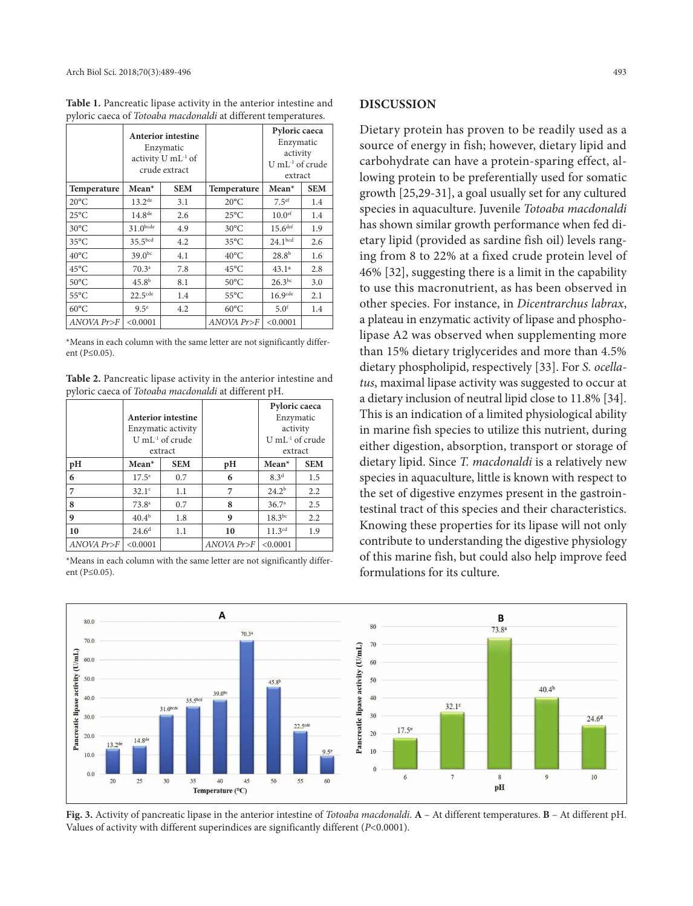**Table 1.** Pancreatic lipase activity in the anterior intestine and pyloric caeca of *Totoaba macdonaldi* at different temperatures.

|                | <b>Anterior intestine</b><br>Enzymatic<br>activity U mL <sup>-1</sup> of<br>crude extract |            |                    | Pyloric caeca<br>Enzymatic<br>activity<br>$U$ mL <sup>-1</sup> of crude<br>extract |            |
|----------------|-------------------------------------------------------------------------------------------|------------|--------------------|------------------------------------------------------------------------------------|------------|
| Temperature    | $Mean*$                                                                                   | <b>SEM</b> | <b>Temperature</b> | $Mean*$                                                                            | <b>SEM</b> |
| $20^{\circ}$ C | $13.2^{\text{de}}$                                                                        | 3.1        | $20^{\circ}$ C     | 7.5 <sup>ef</sup>                                                                  | 1.4        |
| $25^{\circ}$ C | $14.8^{de}$                                                                               | 2.6        | $25^{\circ}$ C     | 10.0 <sup>ef</sup>                                                                 | 1.4        |
| $30^{\circ}$ C | $31.0$ bcde                                                                               | 4.9        | $30^{\circ}$ C     | 15.6 <sup>def</sup>                                                                | 1.9        |
| $35^{\circ}$ C | 35.5 <sup>bcd</sup>                                                                       | 4.2        | $35^{\circ}$ C     | 24.1 <sup>bcd</sup>                                                                | 2.6        |
| $40^{\circ}$ C | $39.0^{bc}$                                                                               | 4.1        | $40^{\circ}$ C     | 28.8 <sup>b</sup>                                                                  | 1.6        |
| $45^{\circ}$ C | $70.3^{\circ}$                                                                            | 7.8        | $45^{\circ}$ C     | 43.1 <sup>a</sup>                                                                  | 2.8        |
| $50^{\circ}$ C | 45.8 <sup>b</sup>                                                                         | 8.1        | $50^{\circ}$ C     | $26.3^{bc}$                                                                        | 3.0        |
| $55^{\circ}$ C | $22.5$ <sup>cde</sup>                                                                     | 1.4        | $55^{\circ}$ C     | $16.9$ <sup>cde</sup>                                                              | 2.1        |
| $60^{\circ}$ C | 9.5 <sup>e</sup>                                                                          | 4.2        | $60^{\circ}$ C     | 5.0 <sup>f</sup>                                                                   | 1.4        |
| ANOVA Pr>F     | < 0.0001                                                                                  |            | ANOVA Pr>F         | < 0.0001                                                                           |            |

\*Means in each column with the same letter are not significantly different (P≤0.05).

**Table 2.** Pancreatic lipase activity in the anterior intestine and pyloric caeca of *Totoaba macdonaldi* at different pH.

|                  | Anterior intestine<br>Enzymatic activity<br>U mL $^{-1}$ of crude<br>extract |            |                  | Pyloric caeca<br>Enzymatic<br>activity<br>U mL <sup>-1</sup> of crude<br>extract |            |
|------------------|------------------------------------------------------------------------------|------------|------------------|----------------------------------------------------------------------------------|------------|
| pH               | $Mean*$                                                                      | <b>SEM</b> | pН               | $Mean*$                                                                          | <b>SEM</b> |
| 6                | $17.5^{\circ}$                                                               | 0.7        | 6                | 8.3 <sup>d</sup>                                                                 | 1.5        |
| $\overline{7}$   | $32.1^{\circ}$                                                               | 1.1        | 7                | 24.2 <sup>b</sup>                                                                | 2.2        |
| 8                | 73.8 <sup>a</sup>                                                            | 0.7        | 8                | 36.7 <sup>a</sup>                                                                | 2.5        |
| $\boldsymbol{9}$ | $40.4^{b}$                                                                   | 1.8        | 9                | $18.3^{bc}$                                                                      | 2.2        |
| 10               | $24.6^{\rm d}$                                                               | 1.1        | 10               | $11.3^{cd}$                                                                      | 1.9        |
| ANOVA Pr>F       | < 0.0001                                                                     |            | $ANOVA$ $Pr > F$ | < 0.0001                                                                         |            |

\*Means in each column with the same letter are not significantly different (P≤0.05).

# **DISCUSSION**

Dietary protein has proven to be readily used as a source of energy in fish; however, dietary lipid and carbohydrate can have a protein-sparing effect, allowing protein to be preferentially used for somatic growth [25,29-31], a goal usually set for any cultured species in aquaculture. Juvenile *Totoaba macdonaldi* has shown similar growth performance when fed dietary lipid (provided as sardine fish oil) levels ranging from 8 to 22% at a fixed crude protein level of 46% [32], suggesting there is a limit in the capability to use this macronutrient, as has been observed in other species. For instance, in *Dicentrarchus labrax*, a plateau in enzymatic activity of lipase and phospholipase A2 was observed when supplementing more than 15% dietary triglycerides and more than 4.5% dietary phospholipid, respectively [33]. For *S. ocellatus*, maximal lipase activity was suggested to occur at a dietary inclusion of neutral lipid close to 11.8% [34]. This is an indication of a limited physiological ability in marine fish species to utilize this nutrient, during either digestion, absorption, transport or storage of dietary lipid. Since *T. macdonaldi* is a relatively new species in aquaculture, little is known with respect to the set of digestive enzymes present in the gastrointestinal tract of this species and their characteristics. Knowing these properties for its lipase will not only contribute to understanding the digestive physiology of this marine fish, but could also help improve feed formulations for its culture.



**Fig. 3.** Activity of pancreatic lipase in the anterior intestine of *Totoaba macdonaldi*. **A** – At different temperatures. **B** – At different pH. Values of activity with different superindices are significantly different (*P*<0.0001).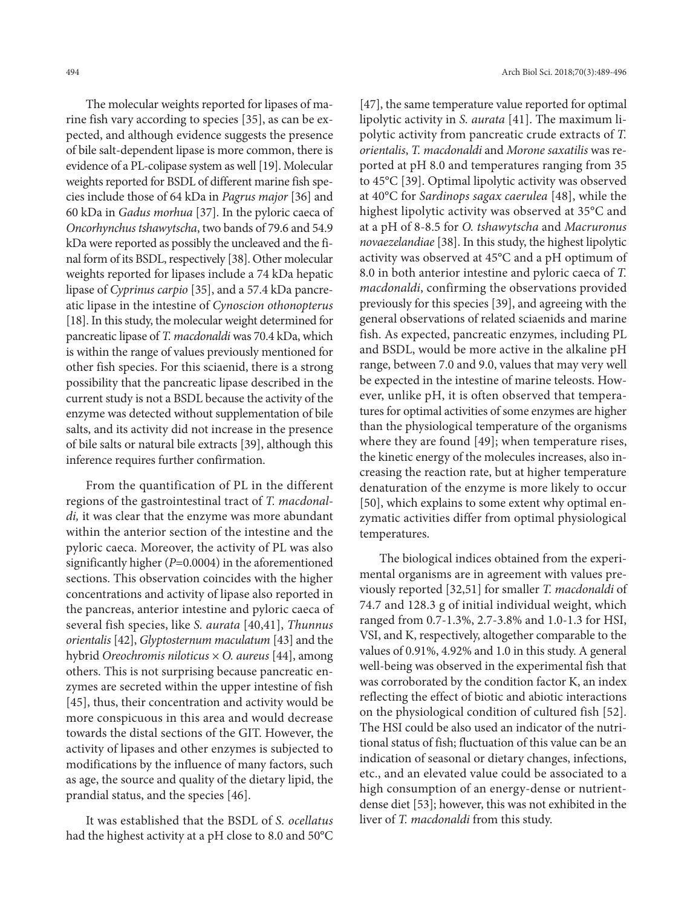The molecular weights reported for lipases of marine fish vary according to species [35], as can be expected, and although evidence suggests the presence of bile salt-dependent lipase is more common, there is evidence of a PL-colipase system as well [19]. Molecular weights reported for BSDL of different marine fish species include those of 64 kDa in *Pagrus major* [36] and 60 kDa in *Gadus morhua* [37]. In the pyloric caeca of *Oncorhynchus tshawytscha*, two bands of 79.6 and 54.9 kDa were reported as possibly the uncleaved and the final form of its BSDL, respectively [38]. Other molecular weights reported for lipases include a 74 kDa hepatic lipase of *Cyprinus carpio* [35], and a 57.4 kDa pancreatic lipase in the intestine of *Cynoscion othonopterus*  [18]. In this study, the molecular weight determined for pancreatic lipase of *T. macdonaldi* was 70.4 kDa, which is within the range of values previously mentioned for other fish species. For this sciaenid, there is a strong possibility that the pancreatic lipase described in the current study is not a BSDL because the activity of the enzyme was detected without supplementation of bile salts, and its activity did not increase in the presence of bile salts or natural bile extracts [39], although this inference requires further confirmation.

From the quantification of PL in the different regions of the gastrointestinal tract of *T. macdonaldi,* it was clear that the enzyme was more abundant within the anterior section of the intestine and the pyloric caeca. Moreover, the activity of PL was also significantly higher (*P*=0.0004) in the aforementioned sections. This observation coincides with the higher concentrations and activity of lipase also reported in the pancreas, anterior intestine and pyloric caeca of several fish species, like *S. aurata* [40,41], *Thunnus orientalis* [42], *Glyptosternum maculatum* [43] and the hybrid *Oreochromis niloticus* × *O. aureus* [44], among others. This is not surprising because pancreatic enzymes are secreted within the upper intestine of fish [45], thus, their concentration and activity would be more conspicuous in this area and would decrease towards the distal sections of the GIT. However, the activity of lipases and other enzymes is subjected to modifications by the influence of many factors, such as age, the source and quality of the dietary lipid, the prandial status, and the species [46].

It was established that the BSDL of *S. ocellatus* had the highest activity at a pH close to 8.0 and 50°C

[47], the same temperature value reported for optimal lipolytic activity in *S. aurata* [41]. The maximum lipolytic activity from pancreatic crude extracts of *T. orientalis*, *T. macdonaldi* and *Morone saxatilis* was reported at pH 8.0 and temperatures ranging from 35 to 45°C [39]. Optimal lipolytic activity was observed at 40°C for *Sardinops sagax caerulea* [48], while the highest lipolytic activity was observed at 35°C and at a pH of 8-8.5 for *O. tshawytscha* and *Macruronus novaezelandiae* [38]. In this study, the highest lipolytic activity was observed at 45°C and a pH optimum of 8.0 in both anterior intestine and pyloric caeca of *T. macdonaldi*, confirming the observations provided previously for this species [39], and agreeing with the general observations of related sciaenids and marine fish. As expected, pancreatic enzymes, including PL and BSDL, would be more active in the alkaline pH range, between 7.0 and 9.0, values that may very well be expected in the intestine of marine teleosts. However, unlike pH, it is often observed that temperatures for optimal activities of some enzymes are higher than the physiological temperature of the organisms where they are found [49]; when temperature rises, the kinetic energy of the molecules increases, also increasing the reaction rate, but at higher temperature denaturation of the enzyme is more likely to occur [50], which explains to some extent why optimal enzymatic activities differ from optimal physiological temperatures.

The biological indices obtained from the experimental organisms are in agreement with values previously reported [32,51] for smaller *T. macdonaldi* of 74.7 and 128.3 g of initial individual weight, which ranged from 0.7-1.3%, 2.7-3.8% and 1.0-1.3 for HSI, VSI, and K, respectively, altogether comparable to the values of 0.91%, 4.92% and 1.0 in this study. A general well-being was observed in the experimental fish that was corroborated by the condition factor K, an index reflecting the effect of biotic and abiotic interactions on the physiological condition of cultured fish [52]. The HSI could be also used an indicator of the nutritional status of fish; fluctuation of this value can be an indication of seasonal or dietary changes, infections, etc., and an elevated value could be associated to a high consumption of an energy-dense or nutrientdense diet [53]; however, this was not exhibited in the liver of *T. macdonaldi* from this study.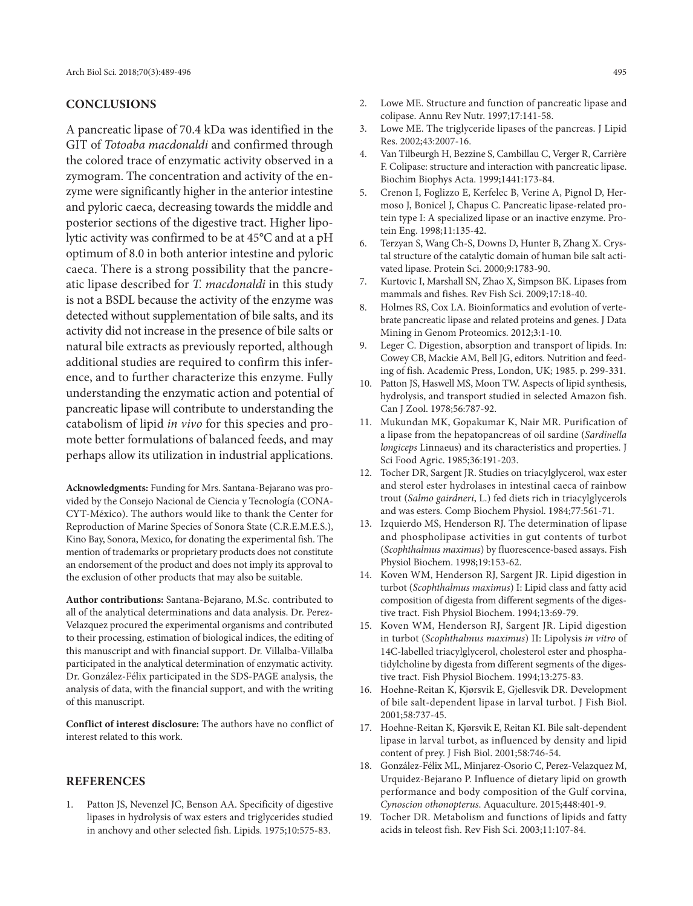## **CONCLUSIONS**

A pancreatic lipase of 70.4 kDa was identified in the GIT of *Totoaba macdonaldi* and confirmed through the colored trace of enzymatic activity observed in a zymogram. The concentration and activity of the enzyme were significantly higher in the anterior intestine and pyloric caeca, decreasing towards the middle and posterior sections of the digestive tract. Higher lipolytic activity was confirmed to be at 45°C and at a pH optimum of 8.0 in both anterior intestine and pyloric caeca. There is a strong possibility that the pancreatic lipase described for *T. macdonaldi* in this study is not a BSDL because the activity of the enzyme was detected without supplementation of bile salts, and its activity did not increase in the presence of bile salts or natural bile extracts as previously reported, although additional studies are required to confirm this inference, and to further characterize this enzyme. Fully understanding the enzymatic action and potential of pancreatic lipase will contribute to understanding the catabolism of lipid *in vivo* for this species and promote better formulations of balanced feeds, and may perhaps allow its utilization in industrial applications.

**Acknowledgments:** Funding for Mrs. Santana-Bejarano was provided by the Consejo Nacional de Ciencia y Tecnología (CONA-CYT-México). The authors would like to thank the Center for Reproduction of Marine Species of Sonora State (C.R.E.M.E.S.), Kino Bay, Sonora, Mexico, for donating the experimental fish. The mention of trademarks or proprietary products does not constitute an endorsement of the product and does not imply its approval to the exclusion of other products that may also be suitable.

**Author contributions:** Santana-Bejarano, M.Sc. contributed to all of the analytical determinations and data analysis. Dr. Perez-Velazquez procured the experimental organisms and contributed to their processing, estimation of biological indices, the editing of this manuscript and with financial support. Dr. Villalba-Villalba participated in the analytical determination of enzymatic activity. Dr. González-Félix participated in the SDS-PAGE analysis, the analysis of data, with the financial support, and with the writing of this manuscript.

**Conflict of interest disclosure:** The authors have no conflict of interest related to this work.

#### **REFERENCES**

1. Patton JS, Nevenzel JC, Benson AA. Specificity of digestive lipases in hydrolysis of wax esters and triglycerides studied in anchovy and other selected fish. Lipids. 1975;10:575-83.

- 2. Lowe ME. Structure and function of pancreatic lipase and colipase. Annu Rev Nutr. 1997;17:141-58.
- 3. Lowe ME. The triglyceride lipases of the pancreas. J Lipid Res. 2002;43:2007-16.
- 4. Van Tilbeurgh H, Bezzine S, Cambillau C, Verger R, Carrière F. Colipase: structure and interaction with pancreatic lipase. Biochim Biophys Acta. 1999;1441:173-84.
- 5. Crenon I, Foglizzo E, Kerfelec B, Verine A, Pignol D, Hermoso J, Bonicel J, Chapus C. Pancreatic lipase-related protein type I: A specialized lipase or an inactive enzyme. Protein Eng. 1998;11:135-42.
- 6. Terzyan S, Wang Ch-S, Downs D, Hunter B, Zhang X. Crystal structure of the catalytic domain of human bile salt activated lipase. Protein Sci. 2000;9:1783-90.
- 7. Kurtovic I, Marshall SN, Zhao X, Simpson BK. Lipases from mammals and fishes. Rev Fish Sci. 2009;17:18-40.
- 8. Holmes RS, Cox LA. Bioinformatics and evolution of vertebrate pancreatic lipase and related proteins and genes. J Data Mining in Genom Proteomics. 2012;3:1-10.
- 9. Leger C. Digestion, absorption and transport of lipids. In: Cowey CB, Mackie AM, Bell JG, editors. Nutrition and feeding of fish. Academic Press, London, UK; 1985. p. 299-331.
- 10. Patton JS, Haswell MS, Moon TW. Aspects of lipid synthesis, hydrolysis, and transport studied in selected Amazon fish. Can J Zool. 1978;56:787-92.
- 11. Mukundan MK, Gopakumar K, Nair MR. Purification of a lipase from the hepatopancreas of oil sardine (*Sardinella longiceps* Linnaeus) and its characteristics and properties. J Sci Food Agric. 1985;36:191-203.
- 12. Tocher DR, Sargent JR. Studies on triacylglycerol, wax ester and sterol ester hydrolases in intestinal caeca of rainbow trout (*Salmo gairdneri*, L.) fed diets rich in triacylglycerols and was esters. Comp Biochem Physiol. 1984;77:561-71.
- 13. Izquierdo MS, Henderson RJ. The determination of lipase and phospholipase activities in gut contents of turbot (*Scophthalmus maximus*) by fluorescence-based assays. Fish Physiol Biochem. 1998;19:153-62.
- 14. Koven WM, Henderson RJ, Sargent JR. Lipid digestion in turbot (*Scophthalmus maximus*) I: Lipid class and fatty acid composition of digesta from different segments of the digestive tract. Fish Physiol Biochem. 1994;13:69-79.
- 15. Koven WM, Henderson RJ, Sargent JR. Lipid digestion in turbot (*Scophthalmus maximus*) II: Lipolysis *in vitro* of 14C-labelled triacylglycerol, cholesterol ester and phosphatidylcholine by digesta from different segments of the digestive tract. Fish Physiol Biochem. 1994;13:275-83.
- 16. Hoehne-Reitan K, Kjørsvik E, Gjellesvik DR. Development of bile salt-dependent lipase in larval turbot. J Fish Biol. 2001;58:737-45.
- 17. Hoehne-Reitan K, Kjørsvik E, Reitan KI. Bile salt-dependent lipase in larval turbot, as influenced by density and lipid content of prey. J Fish Biol. 2001;58:746-54.
- 18. González-Félix ML, Minjarez-Osorio C, Perez-Velazquez M, Urquidez-Bejarano P. Influence of dietary lipid on growth performance and body composition of the Gulf corvina, *Cynoscion othonopterus*. Aquaculture. 2015;448:401-9.
- 19. Tocher DR. Metabolism and functions of lipids and fatty acids in teleost fish. Rev Fish Sci. 2003;11:107-84.